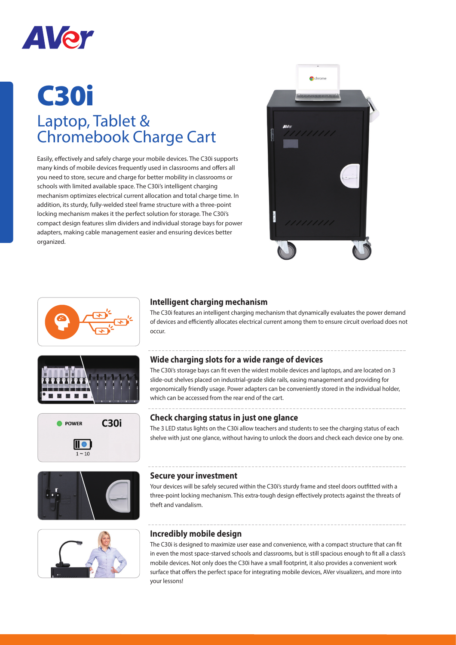

# C30i Laptop, Tablet & Chromebook Charge Cart

Easily, effectively and safely charge your mobile devices. The C30i supports many kinds of mobile devices frequently used in classrooms and offers all you need to store, secure and charge for better mobility in classrooms or schools with limited available space. The C30i's intelligent charging mechanism optimizes electrical current allocation and total charge time. In addition, its sturdy, fully-welded steel frame structure with a three-point locking mechanism makes it the perfect solution for storage. The C30i's compact design features slim dividers and individual storage bays for power adapters, making cable management easier and ensuring devices better organized.













### **Intelligent charging mechanism**

The C30i features an intelligent charging mechanism that dynamically evaluates the power demand of devices and efficiently allocates electrical current among them to ensure circuit overload does not occur.

#### **Wide charging slots for a wide range of devices**

The C30i's storage bays can fit even the widest mobile devices and laptops, and are located on 3 slide-out shelves placed on industrial-grade slide rails, easing management and providing for ergonomically friendly usage. Power adapters can be conveniently stored in the individual holder, which can be accessed from the rear end of the cart.

#### **Check charging status in just one glance**

The 3 LED status lights on the C30i allow teachers and students to see the charging status of each shelve with just one glance, without having to unlock the doors and check each device one by one.

#### **Secure your investment**

Your devices will be safely secured within the C30i's sturdy frame and steel doors outfitted with a three-point locking mechanism. This extra-tough design effectively protects against the threats of theft and vandalism.

#### **Incredibly mobile design**

The C30i is designed to maximize user ease and convenience, with a compact structure that can fit in even the most space-starved schools and classrooms, but is still spacious enough to fit all a class's mobile devices. Not only does the C30i have a small footprint, it also provides a convenient work surface that offers the perfect space for integrating mobile devices, AVer visualizers, and more into your lessons!